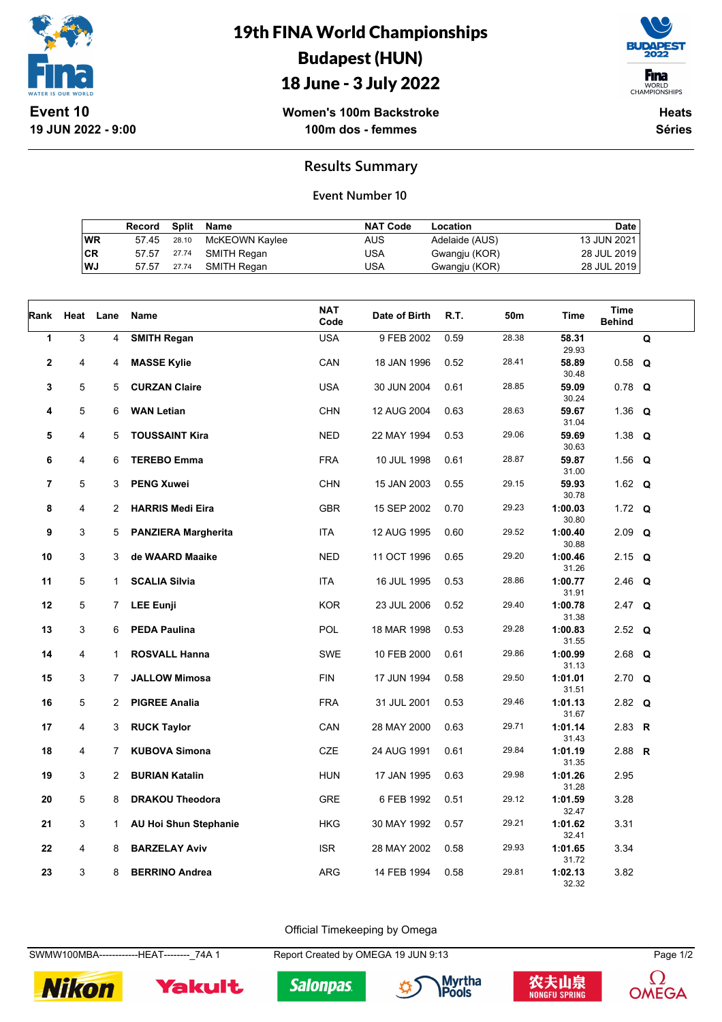

## 19th FINA World Championships Budapest (HUN)





**Women's 100m Backstroke 100m dos - femmes**

**Heats Séries**

### **Results Summary**

#### **Event Number 10**

|    | Record Split Name |             |                | <b>NAT Code</b> | Location       | Date        |
|----|-------------------|-------------|----------------|-----------------|----------------|-------------|
| WR |                   | 57.45 28.10 | McKEOWN Kaylee | AUS             | Adelaide (AUS) | 13 JUN 2021 |
| СR |                   | 57.57 27.74 | SMITH Regan    | USA             | Gwangju (KOR)  | 28 JUL 2019 |
| WJ | 57.57 27.74       |             | SMITH Regan    | USA             | Gwangju (KOR)  | 28 JUL 2019 |

| Rank         | Heat | Lane           | Name                         | NAT<br>Code | Date of Birth | R.T. | 50m   | Time             | Time<br><b>Behind</b> |             |
|--------------|------|----------------|------------------------------|-------------|---------------|------|-------|------------------|-----------------------|-------------|
| $\mathbf{1}$ | 3    | 4              | <b>SMITH Regan</b>           | <b>USA</b>  | 9 FEB 2002    | 0.59 | 28.38 | 58.31<br>29.93   |                       | $\mathbf Q$ |
| $\mathbf{2}$ | 4    | 4              | <b>MASSE Kylie</b>           | CAN         | 18 JAN 1996   | 0.52 | 28.41 | 58.89<br>30.48   | $0.58$ Q              |             |
| 3            | 5    | 5              | <b>CURZAN Claire</b>         | <b>USA</b>  | 30 JUN 2004   | 0.61 | 28.85 | 59.09<br>30.24   | $0.78$ Q              |             |
| 4            | 5    | 6              | <b>WAN Letian</b>            | <b>CHN</b>  | 12 AUG 2004   | 0.63 | 28.63 | 59.67<br>31.04   | 1.36 $Q$              |             |
| 5            | 4    | 5              | <b>TOUSSAINT Kira</b>        | <b>NED</b>  | 22 MAY 1994   | 0.53 | 29.06 | 59.69<br>30.63   | 1.38 $Q$              |             |
| 6            | 4    | 6              | <b>TEREBO Emma</b>           | <b>FRA</b>  | 10 JUL 1998   | 0.61 | 28.87 | 59.87<br>31.00   | 1.56 $Q$              |             |
| 7            | 5    | 3              | <b>PENG Xuwei</b>            | <b>CHN</b>  | 15 JAN 2003   | 0.55 | 29.15 | 59.93<br>30.78   | 1.62 $Q$              |             |
| 8            | 4    | $\overline{2}$ | <b>HARRIS Medi Eira</b>      | <b>GBR</b>  | 15 SEP 2002   | 0.70 | 29.23 | 1:00.03<br>30.80 | 1.72 $Q$              |             |
| 9            | 3    | 5              | <b>PANZIERA Margherita</b>   | <b>ITA</b>  | 12 AUG 1995   | 0.60 | 29.52 | 1:00.40<br>30.88 | $2.09$ Q              |             |
| 10           | 3    | 3              | de WAARD Maaike              | NED         | 11 OCT 1996   | 0.65 | 29.20 | 1:00.46<br>31.26 | 2.15 $Q$              |             |
| 11           | 5    | $\mathbf{1}$   | <b>SCALIA Silvia</b>         | ITA         | 16 JUL 1995   | 0.53 | 28.86 | 1:00.77<br>31.91 | 2.46 Q                |             |
| 12           | 5    | 7              | <b>LEE Eunji</b>             | <b>KOR</b>  | 23 JUL 2006   | 0.52 | 29.40 | 1:00.78<br>31.38 | $2.47$ Q              |             |
| 13           | 3    | 6              | <b>PEDA Paulina</b>          | POL         | 18 MAR 1998   | 0.53 | 29.28 | 1:00.83<br>31.55 | 2.52 $Q$              |             |
| 14           | 4    | $\mathbf{1}$   | <b>ROSVALL Hanna</b>         | <b>SWE</b>  | 10 FEB 2000   | 0.61 | 29.86 | 1:00.99<br>31.13 | 2.68 $Q$              |             |
| 15           | 3    | $\overline{7}$ | <b>JALLOW Mimosa</b>         | <b>FIN</b>  | 17 JUN 1994   | 0.58 | 29.50 | 1:01.01<br>31.51 | $2.70$ Q              |             |
| 16           | 5    | $\overline{2}$ | <b>PIGREE Analia</b>         | <b>FRA</b>  | 31 JUL 2001   | 0.53 | 29.46 | 1:01.13<br>31.67 | 2.82 $Q$              |             |
| 17           | 4    | 3              | <b>RUCK Taylor</b>           | CAN         | 28 MAY 2000   | 0.63 | 29.71 | 1:01.14<br>31.43 | 2.83 R                |             |
| 18           | 4    | $\overline{7}$ | <b>KUBOVA Simona</b>         | <b>CZE</b>  | 24 AUG 1991   | 0.61 | 29.84 | 1:01.19<br>31.35 | 2.88 $R$              |             |
| 19           | 3    | $\overline{2}$ | <b>BURIAN Katalin</b>        | <b>HUN</b>  | 17 JAN 1995   | 0.63 | 29.98 | 1:01.26<br>31.28 | 2.95                  |             |
| 20           | 5    | 8              | <b>DRAKOU Theodora</b>       | <b>GRE</b>  | 6 FEB 1992    | 0.51 | 29.12 | 1:01.59<br>32.47 | 3.28                  |             |
| 21           | 3    | $\mathbf{1}$   | <b>AU Hoi Shun Stephanie</b> | <b>HKG</b>  | 30 MAY 1992   | 0.57 | 29.21 | 1:01.62<br>32.41 | 3.31                  |             |
| 22           | 4    | 8              | <b>BARZELAY Aviv</b>         | <b>ISR</b>  | 28 MAY 2002   | 0.58 | 29.93 | 1:01.65<br>31.72 | 3.34                  |             |
| 23           | 3    | 8              | <b>BERRINO Andrea</b>        | <b>ARG</b>  | 14 FEB 1994   | 0.58 | 29.81 | 1:02.13<br>32.32 | 3.82                  |             |

Official Timekeeping by Omega

SWMW100MBA-------------HEAT--------\_74A 1 Report Created by OMEGA 19 JUN 9:13 Page 1/2



Yakult